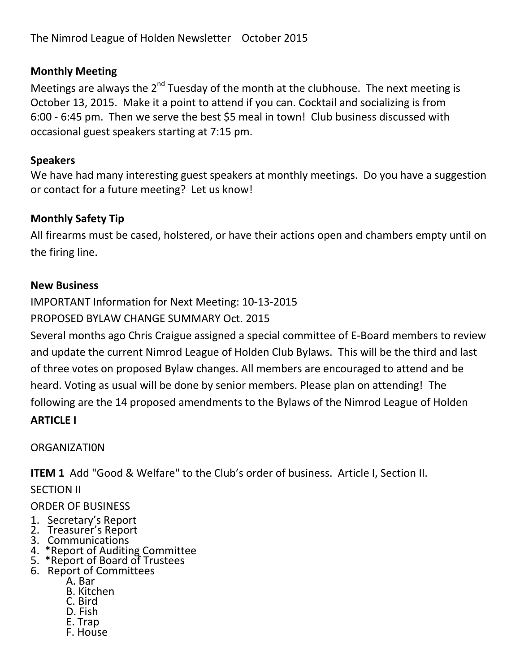## **Monthly Meeting**

Meetings are always the 2<sup>nd</sup> Tuesday of the month at the clubhouse. The next meeting is October 13, 2015. Make it a point to attend if you can. Cocktail and socializing is from 6:00 - 6:45 pm. Then we serve the best \$5 meal in town! Club business discussed with occasional guest speakers starting at 7:15 pm.

#### **Speakers**

We have had many interesting guest speakers at monthly meetings. Do you have a suggestion or contact for a future meeting? Let us know!

# **Monthly Safety Tip**

All firearms must be cased, holstered, or have their actions open and chambers empty until on the firing line.

#### **New Business**

IMPORTANT Information for Next Meeting: 10-13-2015

PROPOSED BYLAW CHANGE SUMMARY Oct. 2015

Several months ago Chris Craigue assigned a special committee of E-Board members to review and update the current Nimrod League of Holden Club Bylaws. This will be the third and last of three votes on proposed Bylaw changes. All members are encouraged to attend and be heard. Voting as usual will be done by senior members. Please plan on attending! The following are the 14 proposed amendments to the Bylaws of the Nimrod League of Holden **ARTICLE I**

#### **ORGANIZATION**

**ITEM 1** Add "Good & Welfare" to the Club's order of business. Article I, Section II.

SECTION II

#### ORDER OF BUSINESS

- 1. Secretary's Report
- 2. Treasurer's Report
- 3. Communications
- 4. \*Report of Auditing Committee
- 5. \*Report of Board of Trustees
- 6. Report of Committees
	- A. Bar
	- B. Kitchen
	- C. Bird
	- D. Fish E. Trap
	-
	- F. House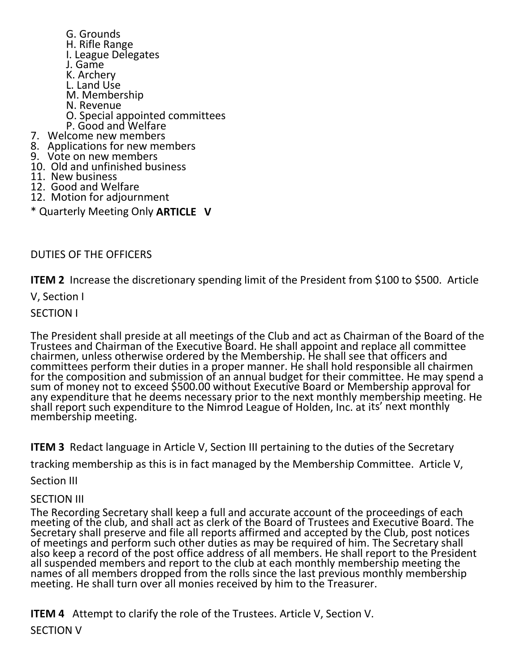G. Grounds H. Rifle Range I. League Delegates J. Game K. Archery L. Land Use M. Membership N. Revenue O. Special appointed committees P. Good and Welfare 7. Welcome new members 8. Applications for new members 9. Vote on new members 10. Old and unfinished business 11. New business 12. Good and Welfare 12. Motion for adjournment

\* Quarterly Meeting Only **ARTICLE V**

DUTIES OF THE OFFICERS

**ITEM 2** Increase the discretionary spending limit of the President from \$100 to \$500. Article

V, Section I

SECTION I

The President shall preside at all meetings of the Club and act as Chairman of the Board of the Trustees and Chairman of the Executive Board. He shall appoint and replace all committee chairmen, unless otherwise ordered by the Membership. He shall see that officers and committees perform their duties in a proper manner. He shall hold responsible all chairmen for the composition and submission of an annual budget for their committee. He may spend a sum of money not to exceed \$500.00 without Executive Board or Membership approval for any expenditure that he deems necessary prior to the next monthly membership meeting. He shall report such expenditure to the Nimrod League of Holden, Inc. at its' next monthly membership meeting.

**ITEM 3** Redact language in Article V, Section III pertaining to the duties of the Secretary

tracking membership as this is in fact managed by the Membership Committee. Article V,

Section III

#### SECTION III

The Recording Secretary shall keep a full and accurate account of the proceedings of each meeting of the club, and shall act as clerk of the Board of Trustees and Executive Board. The Secretary shall preserve and file all reports affirmed and accepted by the Club, post notices of meetings and perform such other duties as may be required of him. The Secretary shall also keep a record of the post office address of all members. He shall report to the President all suspended members and report to the club at each monthly membership meeting the names of all members dropped from the rolls since the last previous monthly membership meeting. He shall turn over all monies received by him to the Treasurer.

**ITEM 4** Attempt to clarify the role of the Trustees. Article V, Section V.

SECTION V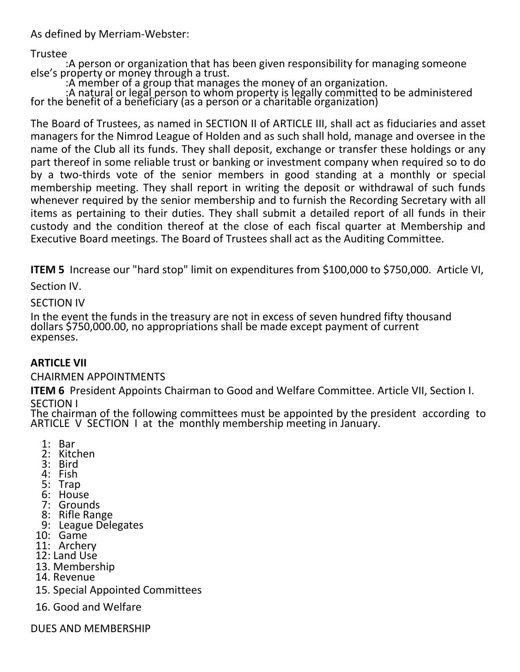As defined by Merriam-Webster:

Trustee

 :A person or organization that has been given responsibility for managing someone else's property or money through a trust.

:A member of a group that manages the money of an organization.

 :A natural or legal person to whom property is legally committed to be administered for the benefit of a beñeficiary (as a person or a cháritable órganization)

The Board of Trustees, as named in SECTION II of ARTICLE III, shall act as fiduciaries and asset managers for the Nimrod League of Holden and as such shall hold, manage and oversee in the name of the Club all its funds. They shall deposit, exchange or transfer these holdings or any part thereof in some reliable trust or banking or investment company when required so to do by a two-thirds vote of the senior members in good standing at a monthly or special membership meeting. They shall report in writing the deposit or withdrawal of such funds whenever required by the senior membership and to furnish the Recording Secretary with all items as pertaining to their duties. They shall submit a detailed report of all funds in their custody and the condition thereof at the close of each fiscal quarter at Membership and Executive Board meetings. The Board of Trustees shall act as the Auditing Committee.

**ITEM 5** Increase our "hard stop" limit on expenditures from \$100,000 to \$750,000. Article VI,

Section IV.

SECTION IV

In the event the funds in the treasury are not in excess of seven hundred fifty thousand dollars \$750,000.00, no appropriations shall be made except payment of current expenses.

## **ARTICLE VII**

## CHAIRMEN APPOINTMENTS

**ITEM 6** President Appoints Chairman to Good and Welfare Committee. Article VII, Section I. SECTION I

The chairman of the following committees must be appointed by the president according to ARTICLE V SECTION I at the monthly membership meeting in January.

- 1: Bar
- 2: Kitchen
- 3: Bird
- 4: Fish
- 5: Trap
- 6: House
- 7: Grounds
- 8: Rifle Range
- 9: League Delegates
- 10: Game
- 11: Archery
- 12: Land Use
- 13. Membership
- 14. Revenue
- 15. Special Appointed Committees
- 16. Good and Welfare

DUES AND MEMBERSHIP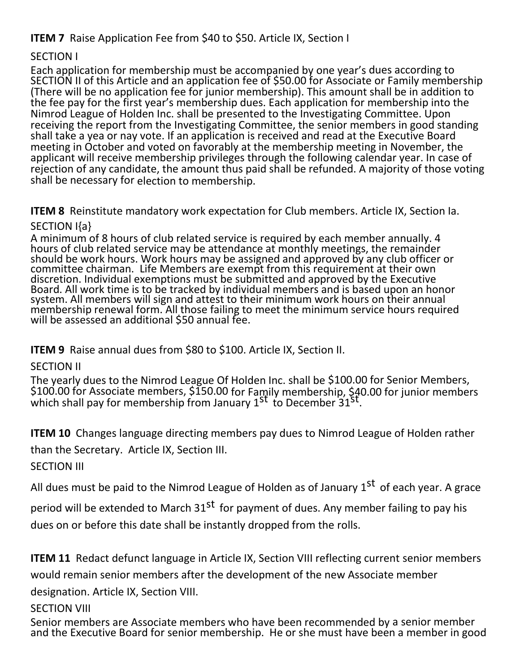# **ITEM 7** Raise Application Fee from \$40 to \$50. Article IX, Section I

#### SECTION I

Each application for membership must be accompanied by one year's dues according to SECTION II of this Article and an application fee of \$50.00 for Associate or Family membership (There will be no application fee for junior membership). This amount shall be in addition to the fee pay for the first year's membership dues. Each application for membership into the Nimrod League of Holden Inc. shall be presented to the Investigating Committee. Upon receiving the report from the Investigating Committee, the senior members in good standing shall take a yea or nay vote. If an application is received and read at the Executive Board meeting in October and voted on favorably at the membership meeting in November, the applicant will receive membership privileges through the following calendar year. In case of rejection of any candidate, the amount thus paid shall be refunded. A majority of those voting shall be necessary for election to membership.

**ITEM 8** Reinstitute mandatory work expectation for Club members. Article IX, Section Ia. SECTION I{a}

A minimum of 8 hours of club related service is required by each member annually. 4 hours of club related service may be attendance at monthly meetings, the remainder should be work hours. Work hours may be assigned and approved by any club officer or committee chairman. Life Members are exempt from this requirement at their own discretion. Individual exemptions must be submitted and approved by the Executive Board. All work time is to be tracked by individual members and is based upon an honor system. All members will sign and attest to their minimum work hours on their annual membership renewal form. All those failing to meet the minimum service hours required will be assessed an additional \$50 annual fee.

**ITEM 9** Raise annual dues from \$80 to \$100. Article IX, Section II.

SECTION II

The yearly dues to the Nimrod League Of Holden Inc. shall be \$100.00 for Senior Members, \$100.00 for Associate members, \$150.00 for Family membership, \$40.00 for junior members which shall pay for membership from January 1<sup>st</sup> to December 31<sup>st</sup>.

**ITEM 10** Changes language directing members pay dues to Nimrod League of Holden rather

than the Secretary. Article IX, Section III.

**SECTION III** 

All dues must be paid to the Nimrod League of Holden as of January 1<sup>st</sup> of each year. A grace

period will be extended to March 31<sup>st</sup> for payment of dues. Any member failing to pay his dues on or before this date shall be instantly dropped from the rolls.

**ITEM 11** Redact defunct language in Article IX, Section VIII reflecting current senior members

would remain senior members after the development of the new Associate member

designation. Article IX, Section VIII.

SECTION VIII

Senior members are Associate members who have been recommended by a senior member and the Executive Board for senior membership. He or she must have been a member in good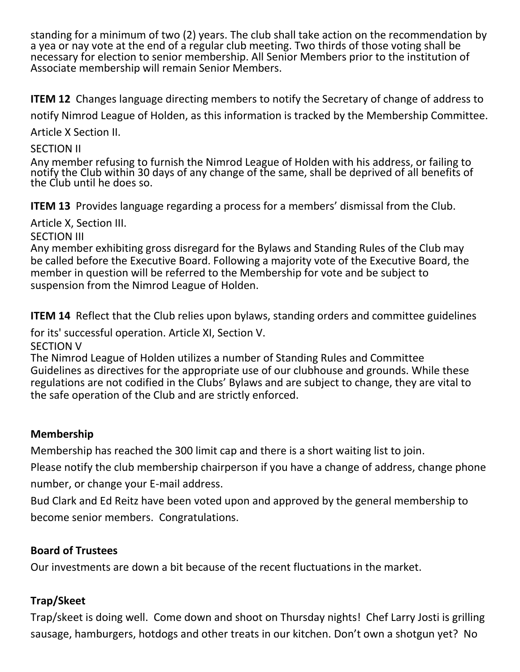standing for a minimum of two (2) years. The club shall take action on the recommendation by a yea or nay vote at the end of a regular club meeting. Two thirds of those voting shall be necessary for election to senior membership. All Senior Members prior to the institution of Associate membership will remain Senior Members.

**ITEM 12** Changes language directing members to notify the Secretary of change of address to

notify Nimrod League of Holden, as this information is tracked by the Membership Committee.

Article X Section II.

## SECTION II

Any member refusing to furnish the Nimrod League of Holden with his address, or failing to notify the Club within 30 days of any change of the same, shall be deprived of all benefits of the Club until he does so.

**ITEM 13** Provides language regarding a process for a members' dismissal from the Club.

Article X, Section III.

#### SECTION III

Any member exhibiting gross disregard for the Bylaws and Standing Rules of the Club may be called before the Executive Board. Following a majority vote of the Executive Board, the member in question will be referred to the Membership for vote and be subject to suspension from the Nimrod League of Holden.

**ITEM 14** Reflect that the Club relies upon bylaws, standing orders and committee guidelines

for its' successful operation. Article XI, Section V.

SECTION V The Nimrod League of Holden utilizes a number of Standing Rules and Committee

Guidelines as directives for the appropriate use of our clubhouse and grounds. While these regulations are not codified in the Clubs' Bylaws and are subject to change, they are vital to the safe operation of the Club and are strictly enforced.

## **Membership**

Membership has reached the 300 limit cap and there is a short waiting list to join.

Please notify the club membership chairperson if you have a change of address, change phone number, or change your E-mail address.

Bud Clark and Ed Reitz have been voted upon and approved by the general membership to become senior members. Congratulations.

## **Board of Trustees**

Our investments are down a bit because of the recent fluctuations in the market.

## **Trap/Skeet**

Trap/skeet is doing well. Come down and shoot on Thursday nights! Chef Larry Josti is grilling sausage, hamburgers, hotdogs and other treats in our kitchen. Don't own a shotgun yet? No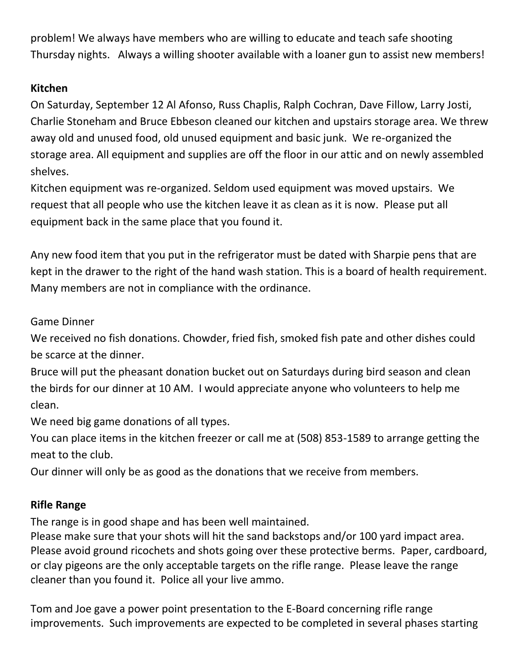problem! We always have members who are willing to educate and teach safe shooting Thursday nights. Always a willing shooter available with a loaner gun to assist new members!

# **Kitchen**

On Saturday, September 12 Al Afonso, Russ Chaplis, Ralph Cochran, Dave Fillow, Larry Josti, Charlie Stoneham and Bruce Ebbeson cleaned our kitchen and upstairs storage area. We threw away old and unused food, old unused equipment and basic junk. We re-organized the storage area. All equipment and supplies are off the floor in our attic and on newly assembled shelves.

Kitchen equipment was re-organized. Seldom used equipment was moved upstairs. We request that all people who use the kitchen leave it as clean as it is now. Please put all equipment back in the same place that you found it.

Any new food item that you put in the refrigerator must be dated with Sharpie pens that are kept in the drawer to the right of the hand wash station. This is a board of health requirement. Many members are not in compliance with the ordinance.

Game Dinner

We received no fish donations. Chowder, fried fish, smoked fish pate and other dishes could be scarce at the dinner.

Bruce will put the pheasant donation bucket out on Saturdays during bird season and clean the birds for our dinner at 10 AM. I would appreciate anyone who volunteers to help me clean.

We need big game donations of all types.

You can place items in the kitchen freezer or call me at (508) 853-1589 to arrange getting the meat to the club.

Our dinner will only be as good as the donations that we receive from members.

## **Rifle Range**

The range is in good shape and has been well maintained.

Please make sure that your shots will hit the sand backstops and/or 100 yard impact area. Please avoid ground ricochets and shots going over these protective berms. Paper, cardboard, or clay pigeons are the only acceptable targets on the rifle range. Please leave the range cleaner than you found it. Police all your live ammo.

Tom and Joe gave a power point presentation to the E-Board concerning rifle range improvements. Such improvements are expected to be completed in several phases starting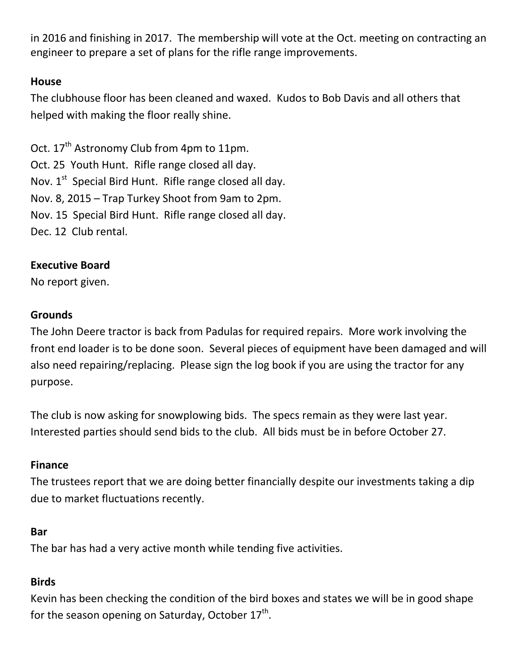in 2016 and finishing in 2017. The membership will vote at the Oct. meeting on contracting an engineer to prepare a set of plans for the rifle range improvements.

#### **House**

The clubhouse floor has been cleaned and waxed. Kudos to Bob Davis and all others that helped with making the floor really shine.

Oct. 17<sup>th</sup> Astronomy Club from 4pm to 11pm. Oct. 25 Youth Hunt. Rifle range closed all day. Nov. 1<sup>st</sup> Special Bird Hunt. Rifle range closed all day. Nov. 8, 2015 – Trap Turkey Shoot from 9am to 2pm. Nov. 15 Special Bird Hunt. Rifle range closed all day. Dec. 12 Club rental.

#### **Executive Board**

No report given.

#### **Grounds**

The John Deere tractor is back from Padulas for required repairs. More work involving the front end loader is to be done soon. Several pieces of equipment have been damaged and will also need repairing/replacing. Please sign the log book if you are using the tractor for any purpose.

The club is now asking for snowplowing bids. The specs remain as they were last year. Interested parties should send bids to the club. All bids must be in before October 27.

## **Finance**

The trustees report that we are doing better financially despite our investments taking a dip due to market fluctuations recently.

#### **Bar**

The bar has had a very active month while tending five activities.

## **Birds**

Kevin has been checking the condition of the bird boxes and states we will be in good shape for the season opening on Saturday, October 17<sup>th</sup>.